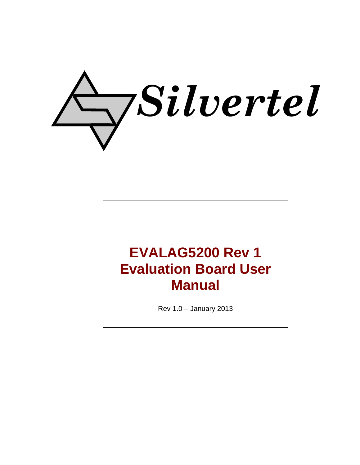

# **EVALAG5200 Rev 1 Evaluation Board User Manual**

Rev 1.0 – January 2013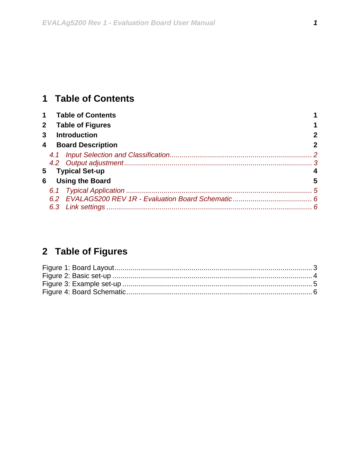## <span id="page-1-0"></span>**1 Table of Contents**

| $\mathbf 1$  | <b>Table of Contents</b>   |   |
|--------------|----------------------------|---|
| $\mathbf{2}$ | <b>Table of Figures</b>    |   |
| 3            | <b>Introduction</b>        |   |
| 4            | <b>Board Description</b>   | 2 |
|              |                            |   |
|              |                            |   |
|              | <b>Typical Set-up</b><br>5 |   |
| 6            | <b>Using the Board</b>     | 5 |
|              |                            |   |
|              |                            |   |
|              |                            |   |

# **2 Table of Figures**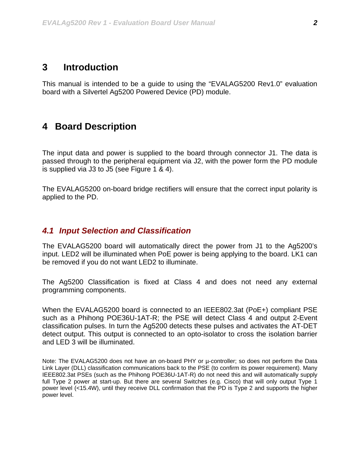#### <span id="page-2-0"></span>**3 Introduction**

This manual is intended to be a guide to using the "EVALAG5200 Rev1.0" evaluation board with a Silvertel Ag5200 Powered Device (PD) module.

### **4 Board Description**

The input data and power is supplied to the board through connector J1. The data is passed through to the peripheral equipment via J2, with the power form the PD module is supplied via J3 to J5 (see [Figure 1](#page-3-1) & 4).

The EVALAG5200 on-board bridge rectifiers will ensure that the correct input polarity is applied to the PD.

#### *4.1 Input Selection and Classification*

The EVALAG5200 board will automatically direct the power from J1 to the Ag5200's input. LED2 will be illuminated when PoE power is being applying to the board. LK1 can be removed if you do not want LED2 to illuminate.

The Ag5200 Classification is fixed at Class 4 and does not need any external programming components.

When the EVALAG5200 board is connected to an IEEE802.3at (PoE+) compliant PSE such as a Phihong POE36U-1AT-R; the PSE will detect Class 4 and output 2-Event classification pulses. In turn the Ag5200 detects these pulses and activates the AT-DET detect output. This output is connected to an opto-isolator to cross the isolation barrier and LED 3 will be illuminated.

Note: The EVALAG5200 does not have an on-board PHY or µ-controller; so does not perform the Data Link Layer (DLL) classification communications back to the PSE (to confirm its power requirement). Many IEEE802.3at PSEs (such as the Phihong POE36U-1AT-R) do not need this and will automatically supply full Type 2 power at start-up. But there are several Switches (e.g. Cisco) that will only output Type 1 power level (<15.4W), until they receive DLL confirmation that the PD is Type 2 and supports the higher power level.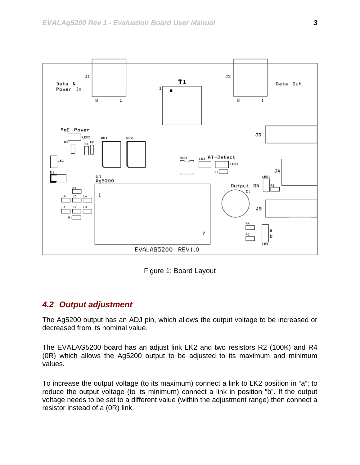<span id="page-3-0"></span>

Figure 1: Board Layout

#### <span id="page-3-1"></span>*4.2 Output adjustment*

The Ag5200 output has an ADJ pin, which allows the output voltage to be increased or decreased from its nominal value.

The EVALAG5200 board has an adjust link LK2 and two resistors R2 (100K) and R4 (0R) which allows the Ag5200 output to be adjusted to its maximum and minimum values.

To increase the output voltage (to its maximum) connect a link to LK2 position in "a"; to reduce the output voltage (to its minimum) connect a link in position "b". If the output voltage needs to be set to a different value (within the adjustment range) then connect a resistor instead of a (0R) link.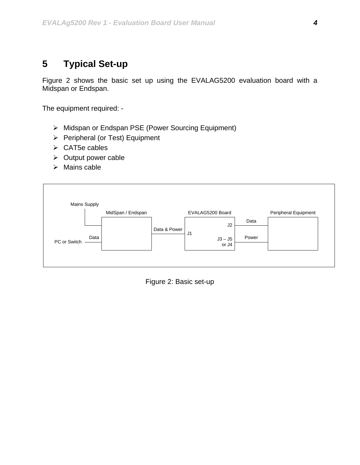# <span id="page-4-0"></span>**5 Typical Set-up**

[Figure 2](#page-4-1) shows the basic set up using the EVALAG5200 evaluation board with a Midspan or Endspan.

The equipment required: -

- ¾ Midspan or Endspan PSE (Power Sourcing Equipment)
- ¾ Peripheral (or Test) Equipment
- $\triangleright$  CAT5e cables
- $\triangleright$  Output power cable
- $\triangleright$  Mains cable

<span id="page-4-1"></span>

Figure 2: Basic set-up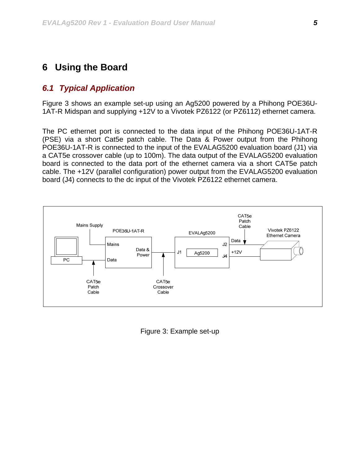### <span id="page-5-0"></span>**6 Using the Board**

#### *6.1 Typical Application*

[Figure 3](#page-5-1) shows an example set-up using an Ag5200 powered by a Phihong POE36U-1AT-R Midspan and supplying +12V to a Vivotek PZ6122 (or PZ6112) ethernet camera.

The PC ethernet port is connected to the data input of the Phihong POE36U-1AT-R (PSE) via a short Cat5e patch cable. The Data & Power output from the Phihong POE36U-1AT-R is connected to the input of the EVALAG5200 evaluation board (J1) via a CAT5e crossover cable (up to 100m). The data output of the EVALAG5200 evaluation board is connected to the data port of the ethernet camera via a short CAT5e patch cable. The +12V (parallel configuration) power output from the EVALAG5200 evaluation board (J4) connects to the dc input of the Vivotek PZ6122 ethernet camera.

<span id="page-5-1"></span>

Figure 3: Example set-up